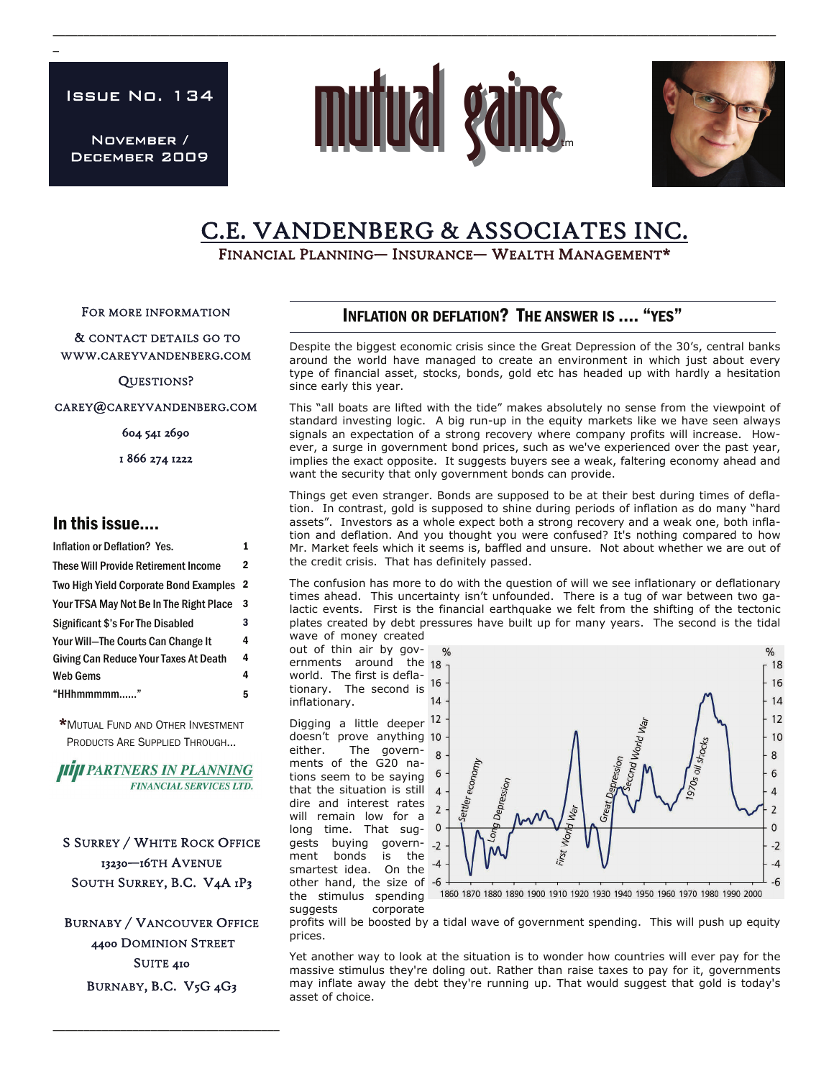Issue No. 134

 $\overline{a}$ 

November / December 2009



\_\_\_\_\_\_\_\_\_\_\_\_\_\_\_\_\_\_\_\_\_\_\_\_\_\_\_\_\_\_\_\_\_\_\_\_\_\_\_\_\_\_\_\_\_\_\_\_\_\_\_\_\_\_\_\_\_\_\_\_\_\_\_\_\_\_\_\_\_\_\_\_\_\_\_\_\_\_\_\_\_\_\_\_\_\_\_\_\_\_\_\_\_\_\_\_\_\_\_\_\_\_\_\_\_\_\_\_\_\_\_\_\_\_\_\_\_\_



# C.E. VANDENBERG & ASSOCIATES INC.<br>Financial Planning— Insurance— Wealth Management\*

FOR MORE INFORMATION

 & CONTACT DETAILS GO TO WWW.CAREYVANDENBERG.COM

QUESTIONS?

CAREY@CAREYVANDENBERG.COM

604 541 2690

1 866 274 1222

### In this issue….

| 2                       |
|-------------------------|
| $\overline{\mathbf{2}}$ |
| 3                       |
| 3                       |
| 4                       |
| 4                       |
| 4                       |
| 5                       |
|                         |

\*MUTUAL FUND AND OTHER INVESTMENT PRODUCTS ARE SUPPLIED THROUGH...

**HIJI PARTNERS IN PLANNING FINANCIAL SERVICES LTD.** 

S SURREY / WHITE ROCK OFFICE 13230—16TH AVENUE SOUTH SURREY, B.C. V4A 1P3

BURNABY / VANCOUVER OFFICE 4400 DOMINION STREET SUITE 410 BURNABY, B.C. V5G 4G3

\_\_\_\_\_\_\_\_\_\_\_\_\_\_\_\_\_\_\_\_\_\_\_\_\_\_\_\_\_\_\_\_\_\_\_\_\_

## INFLATION OR DEFLATION? THE ANSWER IS …. "YES"

Despite the biggest economic crisis since the Great Depression of the 30's, central banks around the world have managed to create an environment in which just about every type of financial asset, stocks, bonds, gold etc has headed up with hardly a hesitation since early this year.

This "all boats are lifted with the tide" makes absolutely no sense from the viewpoint of standard investing logic. A big run-up in the equity markets like we have seen always signals an expectation of a strong recovery where company profits will increase. However, a surge in government bond prices, such as we've experienced over the past year, implies the exact opposite. It suggests buyers see a weak, faltering economy ahead and want the security that only government bonds can provide.

Things get even stranger. Bonds are supposed to be at their best during times of deflation. In contrast, gold is supposed to shine during periods of inflation as do many "hard assets". Investors as a whole expect both a strong recovery and a weak one, both inflation and deflation. And you thought you were confused? It's nothing compared to how Mr. Market feels which it seems is, baffled and unsure. Not about whether we are out of the credit crisis. That has definitely passed.

The confusion has more to do with the question of will we see inflationary or deflationary times ahead. This uncertainty isn't unfounded. There is a tug of war between two galactic events. First is the financial earthquake we felt from the shifting of the tectonic plates created by debt pressures have built up for many years. The second is the tidal wave of money created

out of thin air by governments around the 18 world. The first is deflaworld. The first is defia-<br>tionary. The second is <sup>16</sup> inflationary.

Digging a little deeper 12 doesn't prove anything either. The governments of the G20 nations seem to be saying that the situation is still dire and interest rates will remain low for a long time. That suggests buying government bonds is the smartest idea. On the other hand, the size of -6 the stimulus spending suggests corporate



1860 1870 1880 1890 1900 1910 1920 1930 1940 1950 1960 1970 1980 1990 2000

profits will be boosted by a tidal wave of government spending. This will push up equity prices.

Yet another way to look at the situation is to wonder how countries will ever pay for the massive stimulus they're doling out. Rather than raise taxes to pay for it, governments may inflate away the debt they're running up. That would suggest that gold is today's asset of choice.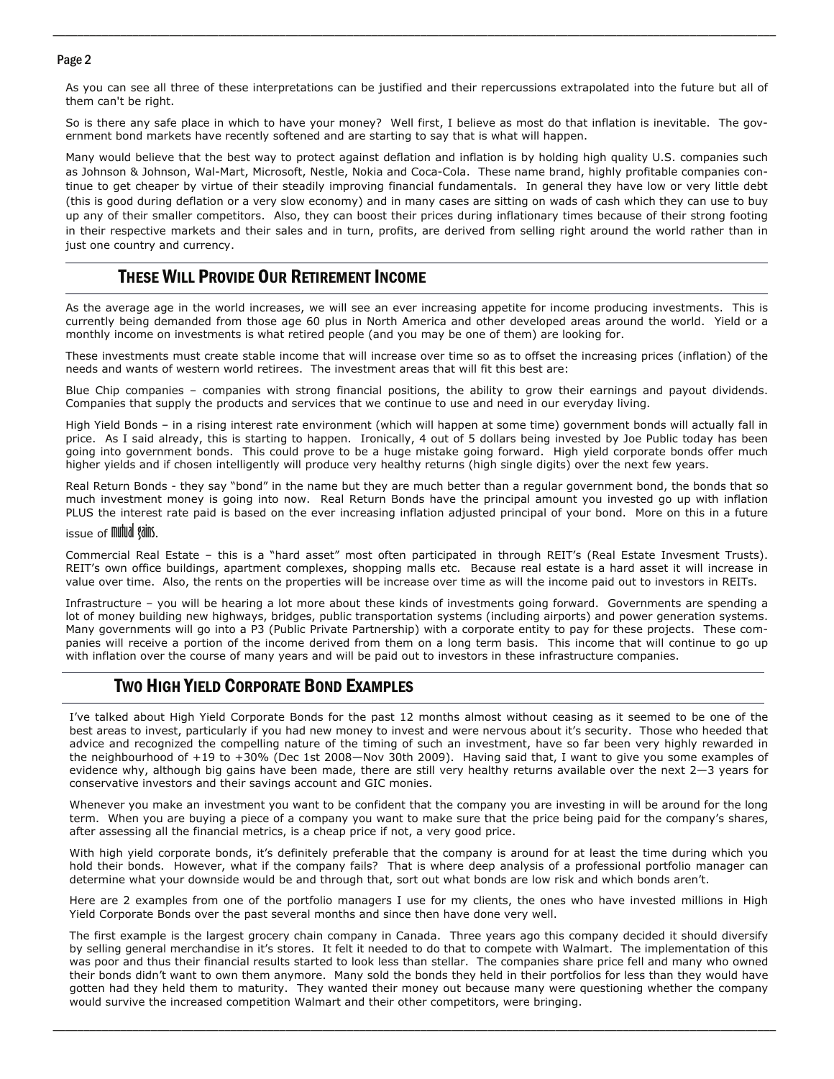#### Page 2

As you can see all three of these interpretations can be justified and their repercussions extrapolated into the future but all of them can't be right.

\_\_\_\_\_\_\_\_\_\_\_\_\_\_\_\_\_\_\_\_\_\_\_\_\_\_\_\_\_\_\_\_\_\_\_\_\_\_\_\_\_\_\_\_\_\_\_\_\_\_\_\_\_\_\_\_\_\_\_\_\_\_\_\_\_\_\_\_\_\_\_\_\_\_\_\_\_\_\_\_\_\_\_\_\_\_\_\_\_\_\_\_\_\_\_\_\_\_\_\_\_\_\_\_\_\_\_\_\_\_\_\_\_\_\_\_\_\_

So is there any safe place in which to have your money? Well first, I believe as most do that inflation is inevitable. The government bond markets have recently softened and are starting to say that is what will happen.

Many would believe that the best way to protect against deflation and inflation is by holding high quality U.S. companies such as Johnson & Johnson, Wal-Mart, Microsoft, Nestle, Nokia and Coca-Cola. These name brand, highly profitable companies continue to get cheaper by virtue of their steadily improving financial fundamentals. In general they have low or very little debt (this is good during deflation or a very slow economy) and in many cases are sitting on wads of cash which they can use to buy up any of their smaller competitors. Also, they can boost their prices during inflationary times because of their strong footing in their respective markets and their sales and in turn, profits, are derived from selling right around the world rather than in just one country and currency.

# THESE WILL PROVIDE OUR RETIREMENT INCOME

As the average age in the world increases, we will see an ever increasing appetite for income producing investments. This is currently being demanded from those age 60 plus in North America and other developed areas around the world. Yield or a monthly income on investments is what retired people (and you may be one of them) are looking for.

These investments must create stable income that will increase over time so as to offset the increasing prices (inflation) of the needs and wants of western world retirees. The investment areas that will fit this best are:

Blue Chip companies – companies with strong financial positions, the ability to grow their earnings and payout dividends. Companies that supply the products and services that we continue to use and need in our everyday living.

High Yield Bonds – in a rising interest rate environment (which will happen at some time) government bonds will actually fall in price. As I said already, this is starting to happen. Ironically, 4 out of 5 dollars being invested by Joe Public today has been going into government bonds. This could prove to be a huge mistake going forward. High yield corporate bonds offer much higher yields and if chosen intelligently will produce very healthy returns (high single digits) over the next few years.

Real Return Bonds - they say "bond" in the name but they are much better than a regular government bond, the bonds that so much investment money is going into now. Real Return Bonds have the principal amount you invested go up with inflation PLUS the interest rate paid is based on the ever increasing inflation adjusted principal of your bond. More on this in a future

#### issue of **mutual** *Rains*.

Commercial Real Estate – this is a "hard asset" most often participated in through REIT's (Real Estate Invesment Trusts). REIT's own office buildings, apartment complexes, shopping malls etc. Because real estate is a hard asset it will increase in value over time. Also, the rents on the properties will be increase over time as will the income paid out to investors in REITs.

Infrastructure – you will be hearing a lot more about these kinds of investments going forward. Governments are spending a lot of money building new highways, bridges, public transportation systems (including airports) and power generation systems. Many governments will go into a P3 (Public Private Partnership) with a corporate entity to pay for these projects. These companies will receive a portion of the income derived from them on a long term basis. This income that will continue to go up with inflation over the course of many years and will be paid out to investors in these infrastructure companies.

### TWO HIGH YIELD CORPORATE BOND EXAMPLES

I've talked about High Yield Corporate Bonds for the past 12 months almost without ceasing as it seemed to be one of the best areas to invest, particularly if you had new money to invest and were nervous about it's security. Those who heeded that advice and recognized the compelling nature of the timing of such an investment, have so far been very highly rewarded in the neighbourhood of +19 to +30% (Dec 1st 2008—Nov 30th 2009). Having said that, I want to give you some examples of evidence why, although big gains have been made, there are still very healthy returns available over the next 2—3 years for conservative investors and their savings account and GIC monies.

Whenever you make an investment you want to be confident that the company you are investing in will be around for the long term. When you are buying a piece of a company you want to make sure that the price being paid for the company's shares, after assessing all the financial metrics, is a cheap price if not, a very good price.

With high yield corporate bonds, it's definitely preferable that the company is around for at least the time during which you hold their bonds. However, what if the company fails? That is where deep analysis of a professional portfolio manager can determine what your downside would be and through that, sort out what bonds are low risk and which bonds aren't.

Here are 2 examples from one of the portfolio managers I use for my clients, the ones who have invested millions in High Yield Corporate Bonds over the past several months and since then have done very well.

The first example is the largest grocery chain company in Canada. Three years ago this company decided it should diversify by selling general merchandise in it's stores. It felt it needed to do that to compete with Walmart. The implementation of this was poor and thus their financial results started to look less than stellar. The companies share price fell and many who owned their bonds didn't want to own them anymore. Many sold the bonds they held in their portfolios for less than they would have gotten had they held them to maturity. They wanted their money out because many were questioning whether the company would survive the increased competition Walmart and their other competitors, were bringing.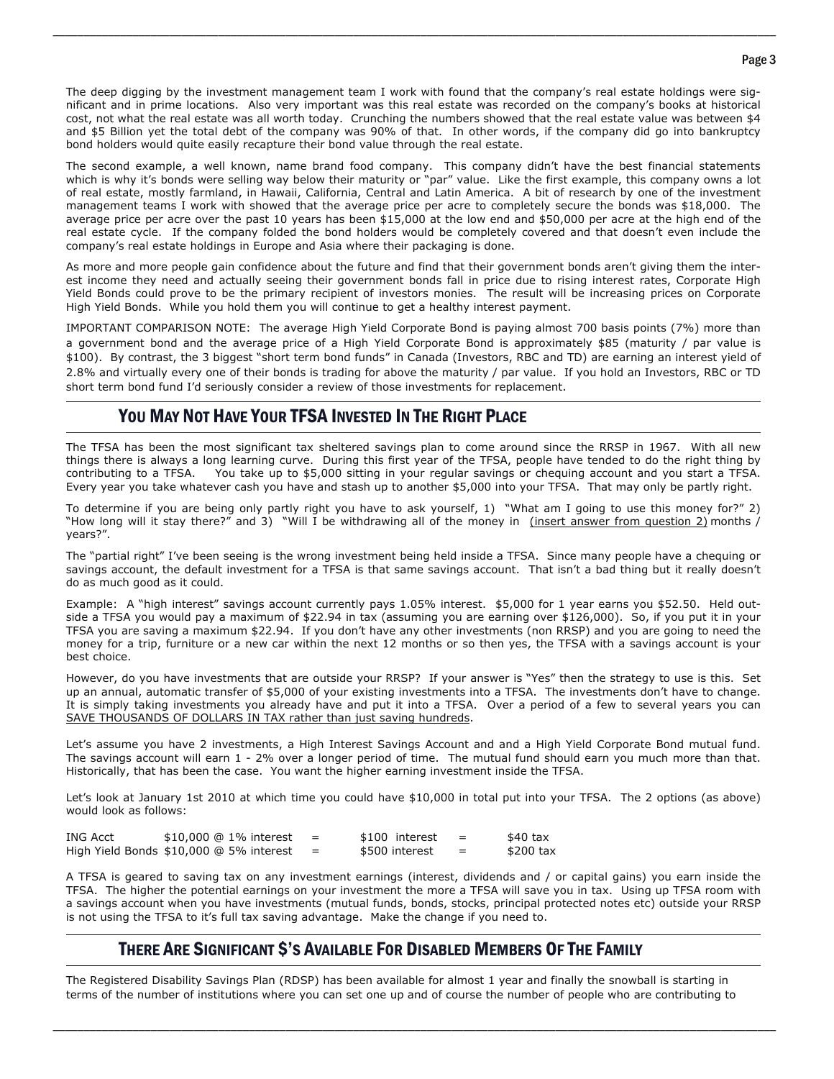The deep digging by the investment management team I work with found that the company's real estate holdings were significant and in prime locations. Also very important was this real estate was recorded on the company's books at historical cost, not what the real estate was all worth today. Crunching the numbers showed that the real estate value was between \$4 and \$5 Billion yet the total debt of the company was 90% of that. In other words, if the company did go into bankruptcy bond holders would quite easily recapture their bond value through the real estate.

\_\_\_\_\_\_\_\_\_\_\_\_\_\_\_\_\_\_\_\_\_\_\_\_\_\_\_\_\_\_\_\_\_\_\_\_\_\_\_\_\_\_\_\_\_\_\_\_\_\_\_\_\_\_\_\_\_\_\_\_\_\_\_\_\_\_\_\_\_\_\_\_\_\_\_\_\_\_\_\_\_\_\_\_\_\_\_\_\_\_\_\_\_\_\_\_\_\_\_\_\_\_\_\_\_\_\_\_\_\_\_\_\_\_\_\_\_\_

The second example, a well known, name brand food company. This company didn't have the best financial statements which is why it's bonds were selling way below their maturity or "par" value. Like the first example, this company owns a lot of real estate, mostly farmland, in Hawaii, California, Central and Latin America. A bit of research by one of the investment management teams I work with showed that the average price per acre to completely secure the bonds was \$18,000. The average price per acre over the past 10 years has been \$15,000 at the low end and \$50,000 per acre at the high end of the real estate cycle. If the company folded the bond holders would be completely covered and that doesn't even include the company's real estate holdings in Europe and Asia where their packaging is done.

As more and more people gain confidence about the future and find that their government bonds aren't giving them the interest income they need and actually seeing their government bonds fall in price due to rising interest rates, Corporate High Yield Bonds could prove to be the primary recipient of investors monies. The result will be increasing prices on Corporate High Yield Bonds. While you hold them you will continue to get a healthy interest payment.

 IMPORTANT COMPARISON NOTE: The average High Yield Corporate Bond is paying almost 700 basis points (7%) more than a government bond and the average price of a High Yield Corporate Bond is approximately \$85 (maturity / par value is \$100). By contrast, the 3 biggest "short term bond funds" in Canada (Investors, RBC and TD) are earning an interest yield of 2.8% and virtually every one of their bonds is trading for above the maturity / par value. If you hold an Investors, RBC or TD short term bond fund I'd seriously consider a review of those investments for replacement.

### YOU MAY NOT HAVE YOUR TFSA INVESTED IN THE RIGHT PLACE

The TFSA has been the most significant tax sheltered savings plan to come around since the RRSP in 1967. With all new things there is always a long learning curve. During this first year of the TFSA, people have tended to do the right thing by contributing to a TFSA. You take up to \$5,000 sitting in your regular savings or chequing account and you start a TFSA. Every year you take whatever cash you have and stash up to another \$5,000 into your TFSA. That may only be partly right.

To determine if you are being only partly right you have to ask yourself, 1) "What am I going to use this money for?" 2) "How long will it stay there?" and 3) "Will I be withdrawing all of the money in (insert answer from question 2) months / years?".

The "partial right" I've been seeing is the wrong investment being held inside a TFSA. Since many people have a chequing or savings account, the default investment for a TFSA is that same savings account. That isn't a bad thing but it really doesn't do as much good as it could.

Example: A "high interest" savings account currently pays 1.05% interest. \$5,000 for 1 year earns you \$52.50. Held outside a TFSA you would pay a maximum of \$22.94 in tax (assuming you are earning over \$126,000). So, if you put it in your TFSA you are saving a maximum \$22.94. If you don't have any other investments (non RRSP) and you are going to need the money for a trip, furniture or a new car within the next 12 months or so then yes, the TFSA with a savings account is your best choice.

However, do you have investments that are outside your RRSP? If your answer is "Yes" then the strategy to use is this. Set up an annual, automatic transfer of \$5,000 of your existing investments into a TFSA. The investments don't have to change. It is simply taking investments you already have and put it into a TFSA. Over a period of a few to several years you can SAVE THOUSANDS OF DOLLARS IN TAX rather than just saving hundreds.

Let's assume you have 2 investments, a High Interest Savings Account and and a High Yield Corporate Bond mutual fund. The savings account will earn 1 - 2% over a longer period of time. The mutual fund should earn you much more than that. Historically, that has been the case. You want the higher earning investment inside the TFSA.

Let's look at January 1st 2010 at which time you could have \$10,000 in total put into your TFSA. The 2 options (as above) would look as follows:

| ING Acct | \$10,000 @ 1% interest                  |     | \$100 interest |     | $$40$ tax |
|----------|-----------------------------------------|-----|----------------|-----|-----------|
|          | High Yield Bonds \$10,000 @ 5% interest | $=$ | \$500 interest | $=$ | \$200 tax |

A TFSA is geared to saving tax on any investment earnings (interest, dividends and / or capital gains) you earn inside the TFSA. The higher the potential earnings on your investment the more a TFSA will save you in tax. Using up TFSA room with a savings account when you have investments (mutual funds, bonds, stocks, principal protected notes etc) outside your RRSP is not using the TFSA to it's full tax saving advantage. Make the change if you need to.

### THERE ARE SIGNIFICANT \$'S AVAILABLE FOR DISABLED MEMBERS OF THE FAMILY

The Registered Disability Savings Plan (RDSP) has been available for almost 1 year and finally the snowball is starting in terms of the number of institutions where you can set one up and of course the number of people who are contributing to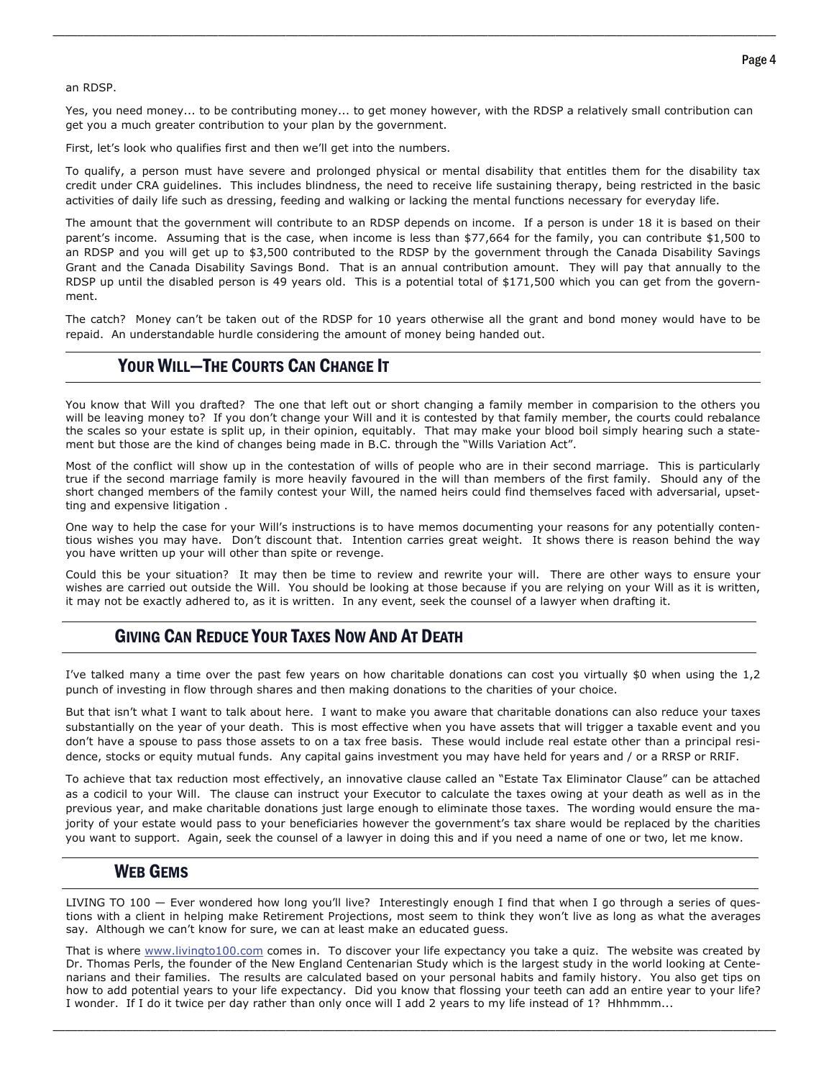#### an RDSP.

Yes, you need money... to be contributing money... to get money however, with the RDSP a relatively small contribution can get you a much greater contribution to your plan by the government.

\_\_\_\_\_\_\_\_\_\_\_\_\_\_\_\_\_\_\_\_\_\_\_\_\_\_\_\_\_\_\_\_\_\_\_\_\_\_\_\_\_\_\_\_\_\_\_\_\_\_\_\_\_\_\_\_\_\_\_\_\_\_\_\_\_\_\_\_\_\_\_\_\_\_\_\_\_\_\_\_\_\_\_\_\_\_\_\_\_\_\_\_\_\_\_\_\_\_\_\_\_\_\_\_\_\_\_\_\_\_\_\_\_\_\_\_\_\_

First, let's look who qualifies first and then we'll get into the numbers.

To qualify, a person must have severe and prolonged physical or mental disability that entitles them for the disability tax credit under CRA guidelines. This includes blindness, the need to receive life sustaining therapy, being restricted in the basic activities of daily life such as dressing, feeding and walking or lacking the mental functions necessary for everyday life.

The amount that the government will contribute to an RDSP depends on income. If a person is under 18 it is based on their parent's income. Assuming that is the case, when income is less than \$77,664 for the family, you can contribute \$1,500 to an RDSP and you will get up to \$3,500 contributed to the RDSP by the government through the Canada Disability Savings Grant and the Canada Disability Savings Bond. That is an annual contribution amount. They will pay that annually to the RDSP up until the disabled person is 49 years old. This is a potential total of \$171,500 which you can get from the government.

 repaid. An understandable hurdle considering the amount of money being handed out. The catch? Money can't be taken out of the RDSP for 10 years otherwise all the grant and bond money would have to be

# YOUR WILL—THE COURTS CAN CHANGE IT

You know that Will you drafted? The one that left out or short changing a family member in comparision to the others you will be leaving money to? If you don't change your Will and it is contested by that family member, the courts could rebalance the scales so your estate is split up, in their opinion, equitably. That may make your blood boil simply hearing such a statement but those are the kind of changes being made in B.C. through the "Wills Variation Act".

Most of the conflict will show up in the contestation of wills of people who are in their second marriage. This is particularly true if the second marriage family is more heavily favoured in the will than members of the first family. Should any of the short changed members of the family contest your Will, the named heirs could find themselves faced with adversarial, upsetting and expensive litigation .

One way to help the case for your Will's instructions is to have memos documenting your reasons for any potentially contentious wishes you may have. Don't discount that. Intention carries great weight. It shows there is reason behind the way you have written up your will other than spite or revenge.

Could this be your situation? It may then be time to review and rewrite your will. There are other ways to ensure your wishes are carried out outside the Will. You should be looking at those because if you are relying on your Will as it is written, it may not be exactly adhered to, as it is written. In any event, seek the counsel of a lawyer when drafting it.

# GIVING CAN REDUCE YOUR TAXES NOW AND AT DEATH

I've talked many a time over the past few years on how charitable donations can cost you virtually \$0 when using the 1,2 punch of investing in flow through shares and then making donations to the charities of your choice.

But that isn't what I want to talk about here. I want to make you aware that charitable donations can also reduce your taxes substantially on the year of your death. This is most effective when you have assets that will trigger a taxable event and you don't have a spouse to pass those assets to on a tax free basis. These would include real estate other than a principal residence, stocks or equity mutual funds. Any capital gains investment you may have held for years and / or a RRSP or RRIF.

To achieve that tax reduction most effectively, an innovative clause called an "Estate Tax Eliminator Clause" can be attached as a codicil to your Will. The clause can instruct your Executor to calculate the taxes owing at your death as well as in the previous year, and make charitable donations just large enough to eliminate those taxes. The wording would ensure the majority of your estate would pass to your beneficiaries however the government's tax share would be replaced by the charities you want to support. Again, seek the counsel of a lawyer in doing this and if you need a name of one or two, let me know.

# WEB GEMS

LIVING TO 100 — Ever wondered how long you'll live? Interestingly enough I find that when I go through a series of questions with a client in helping make Retirement Projections, most seem to think they won't live as long as what the averages say. Although we can't know for sure, we can at least make an educated guess.

That is where [www.livingto100.com](http://www.livingto100.com) comes in. To discover your life expectancy you take a quiz. The website was created by Dr. Thomas Perls, the founder of the New England Centenarian Study which is the largest study in the world looking at Centenarians and their families. The results are calculated based on your personal habits and family history. You also get tips on how to add potential years to your life expectancy. Did you know that flossing your teeth can add an entire year to your life? I wonder. If I do it twice per day rather than only once will I add 2 years to my life instead of 1? Hhhmmm...